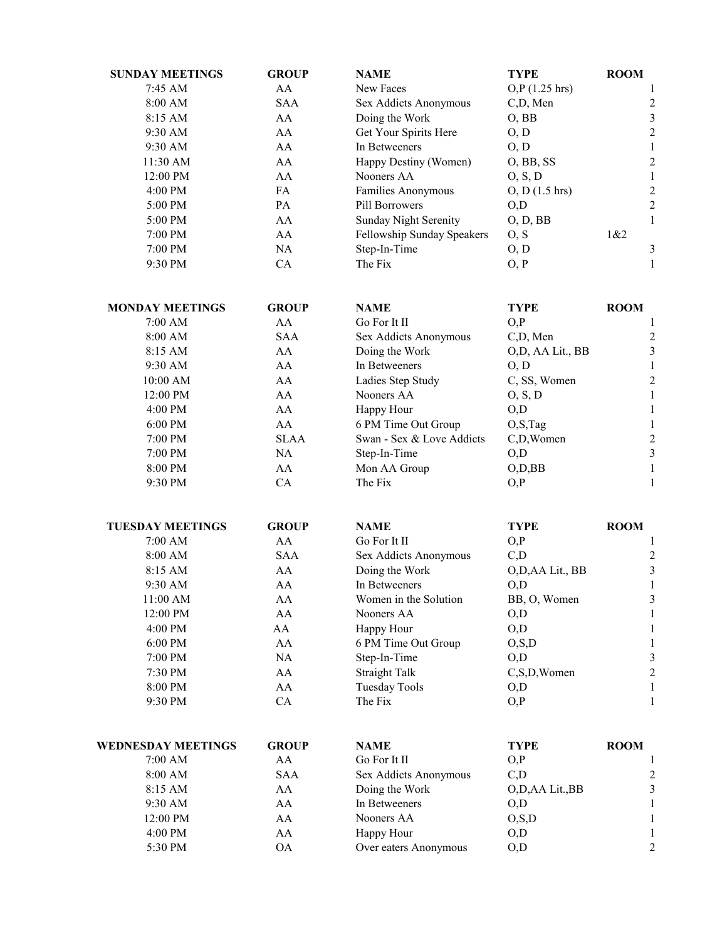| <b>SUNDAY MEETINGS</b>    | <b>GROUP</b> | <b>NAME</b>                | <b>TYPE</b>      | <b>ROOM</b>             |
|---------------------------|--------------|----------------------------|------------------|-------------------------|
| 7:45 AM                   | AA           | New Faces                  | O, P (1.25 hr)   | 1                       |
| 8:00 AM                   | <b>SAA</b>   | Sex Addicts Anonymous      | C,D, Men         | $\overline{\mathbf{c}}$ |
| 8:15 AM                   | AA           | Doing the Work             | $O$ , BB         | $\mathfrak{Z}$          |
| 9:30 AM                   | AA           | Get Your Spirits Here      | O, D             | $\overline{c}$          |
| 9:30 AM                   | AA           | In Betweeners              | O, D             | $\mathbf{1}$            |
| 11:30 AM                  | AA           | Happy Destiny (Women)      | O, BB, SS        | $\overline{\mathbf{c}}$ |
| 12:00 PM                  | AA           | Nooners AA                 | O, S, D          | $\mathbf{1}$            |
| 4:00 PM                   | FA           | Families Anonymous         | $O, D$ (1.5 hrs) | $\overline{\mathbf{c}}$ |
| 5:00 PM                   | PA           | Pill Borrowers             | O,D              | $\overline{c}$          |
| 5:00 PM                   | AA           | Sunday Night Serenity      | O, D, BB         | $\mathbf{1}$            |
| 7:00 PM                   | AA           | Fellowship Sunday Speakers | O, S             | 1&2                     |
| 7:00 PM                   | NA           | Step-In-Time               | O, D             | $\mathfrak z$           |
| 9:30 PM                   | CA           | The Fix                    | O, P             | $\mathbf{1}$            |
| <b>MONDAY MEETINGS</b>    | <b>GROUP</b> | <b>NAME</b>                | <b>TYPE</b>      | <b>ROOM</b>             |
| 7:00 AM                   | AA           | Go For It II               | O, P             | 1                       |
| 8:00 AM                   | <b>SAA</b>   | Sex Addicts Anonymous      | C,D, Men         | $\overline{c}$          |
| 8:15 AM                   | AA           | Doing the Work             | O,D, AA Lit., BB | $\mathfrak{Z}$          |
| 9:30 AM                   | AA           | In Betweeners              | O, D             | $\mathbf{1}$            |
| 10:00 AM                  | AA           | Ladies Step Study          | C, SS, Women     | $\overline{c}$          |
| 12:00 PM                  | AA           | Nooners AA                 | O, S, D          | $\mathbf{1}$            |
|                           | AA           |                            | O, D             |                         |
| 4:00 PM<br>6:00 PM        | AA           | Happy Hour                 |                  | $\mathbf{1}$            |
|                           |              | 6 PM Time Out Group        | O, S, Tag        | $\mathbf{1}$            |
| 7:00 PM                   | <b>SLAA</b>  | Swan - Sex & Love Addicts  | C,D,Women        | $\overline{\mathbf{c}}$ |
| 7:00 PM                   | NA           | Step-In-Time               | O, D             | $\mathfrak{Z}$          |
| 8:00 PM                   | AA           | Mon AA Group               | $O$ , $D$ , $BB$ | $\mathbf{1}$            |
| 9:30 PM                   | CA           | The Fix                    | O, P             | 1                       |
| <b>TUESDAY MEETINGS</b>   | <b>GROUP</b> | <b>NAME</b>                | <b>TYPE</b>      | <b>ROOM</b>             |
| 7:00 AM                   | AA           | Go For It II               | O, P             | 1                       |
| 8:00 AM                   | <b>SAA</b>   | Sex Addicts Anonymous      | C,D              | $\overline{c}$          |
| 8:15 AM                   | AA           | Doing the Work             | O,D,AA Lit., BB  | $\overline{\mathbf{3}}$ |
| 9:30 AM                   | AA           | In Betweeners              | O,D              | $\mathbf{1}$            |
| 11:00 AM                  | AA           | Women in the Solution      | BB, O, Women     | $\mathfrak{Z}$          |
| 12:00 PM                  | AA           | Nooners AA                 | O,D              | 1                       |
| 4:00 PM                   | AA           | Happy Hour                 | O, D             | $\mathbf{1}$            |
| 6:00 PM                   | AA           | 6 PM Time Out Group        | O, S, D          | $\mathbf{1}$            |
| 7:00 PM                   | NA           | Step-In-Time               | O, D             | $\sqrt{3}$              |
| 7:30 PM                   | AA           | <b>Straight Talk</b>       | C,S,D,Women      | $\sqrt{2}$              |
| 8:00 PM                   | AA           | <b>Tuesday Tools</b>       | O,D              | 1                       |
| 9:30 PM                   | CA           | The Fix                    | O, P             | 1                       |
| <b>WEDNESDAY MEETINGS</b> | <b>GROUP</b> | <b>NAME</b>                | <b>TYPE</b>      | <b>ROOM</b>             |
| 7:00 AM                   | AA           | Go For It II               | O, P             | 1                       |
| 8:00 AM                   | <b>SAA</b>   | Sex Addicts Anonymous      | C,D              | 2                       |
| 8:15 AM                   | AA           | Doing the Work             | O,D,AA Lit.,BB   | $\sqrt{3}$              |
| 9:30 AM                   | AA           | In Betweeners              | O,D              | $\mathbf{1}$            |
| 12:00 PM                  | AA           | Nooners AA                 | O, S, D          | 1                       |
| 4:00 PM                   | AA           | Happy Hour                 | O,D              | 1                       |
| 5:30 PM                   | <b>OA</b>    | Over eaters Anonymous      | O,D              | $\overline{c}$          |
|                           |              |                            |                  |                         |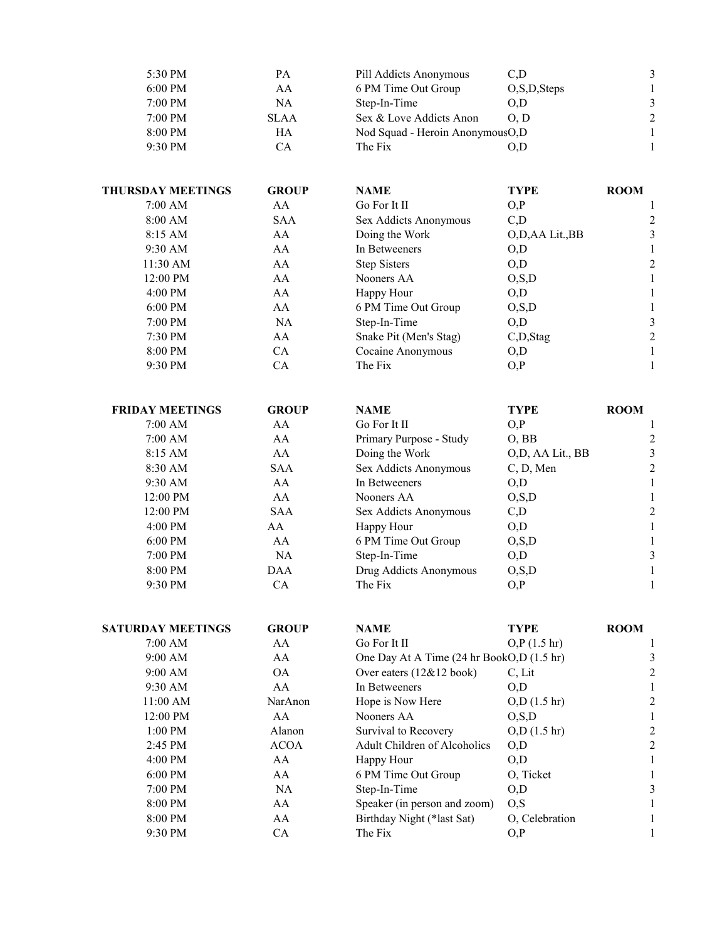| 5:30 PM           | PА          | Pill Addicts Anonymous            | C.D            |               |
|-------------------|-------------|-----------------------------------|----------------|---------------|
| $6:00 \text{ PM}$ | AA          | 6 PM Time Out Group               | O, S, D, Steps |               |
| $7:00$ PM         | NA          | Step-In-Time                      | O.D            | 3             |
| $7:00$ PM         | <b>SLAA</b> | Sex & Love Addicts Anon           | O <sub>D</sub> | $\mathcal{L}$ |
| 8:00 PM           | HA          | Nod Squad - Heroin Anonymous O, D |                |               |
| 9:30 PM           | CА          | The Fix                           | O.D            |               |

| <b>THURSDAY MEETINGS</b> | <b>GROUP</b> | <b>NAME</b>            | <b>TYPE</b>    | <b>ROOM</b> |
|--------------------------|--------------|------------------------|----------------|-------------|
| 7:00 AM                  | AA           | Go For It II           | O, P           |             |
| 8:00 AM                  | <b>SAA</b>   | Sex Addicts Anonymous  | C,D            | 2           |
| $8:15$ AM                | AA           | Doing the Work         | O,D,AA Lit.,BB | 3           |
| 9:30 AM                  | AA           | In Betweeners          | O.D            |             |
| 11:30 AM                 | AA           | <b>Step Sisters</b>    | O,D            | 2           |
| 12:00 PM                 | AA           | Nooners AA             | O, S, D        |             |
| $4:00 \text{ PM}$        | AA           | Happy Hour             | O,D            |             |
| $6:00 \text{ PM}$        | AA           | 6 PM Time Out Group    | O, S, D        |             |
| $7:00$ PM                | NA           | Step-In-Time           | O.D            | 3           |
| 7:30 PM                  | AA           | Snake Pit (Men's Stag) | C,D,Stag       | 2           |
| 8:00 PM                  | CA           | Cocaine Anonymous      | O,D            |             |
| 9:30 PM                  | СA           | The Fix                | O, P           |             |

| <b>FRIDAY MEETINGS</b> | <b>GROUP</b> | <b>NAME</b>             | <b>TYPE</b>      | <b>ROOM</b> |
|------------------------|--------------|-------------------------|------------------|-------------|
| 7:00 AM                | AA           | Go For It II            | O.P              |             |
| 7:00 AM                | AA           | Primary Purpose - Study | O, BB            | 2           |
| $8:15$ AM              | AA           | Doing the Work          | O,D, AA Lit., BB | 3           |
| 8:30 AM                | <b>SAA</b>   | Sex Addicts Anonymous   | C, D, Men        | 2           |
| $9:30$ AM              | AA           | In Betweeners           | O.D              |             |
| 12:00 PM               | AA           | Nooners AA              | O, S, D          |             |
| 12:00 PM               | <b>SAA</b>   | Sex Addicts Anonymous   | C,D              | 2           |
| $4:00$ PM              | AA           | Happy Hour              | O,D              |             |
| $6:00$ PM              | AA           | 6 PM Time Out Group     | O, S, D          |             |
| $7:00$ PM              | <b>NA</b>    | Step-In-Time            | O.D              | 3           |
| 8:00 PM                | DAA          | Drug Addicts Anonymous  | O, S, D          |             |
| 9:30 PM                | CА           | The Fix                 | O, P             |             |

| <b>SATURDAY MEETINGS</b> | <b>GROUP</b> | <b>NAME</b>                               | <b>TYPE</b>           | <b>ROOM</b> |
|--------------------------|--------------|-------------------------------------------|-----------------------|-------------|
| 7:00 AM                  | AA           | Go For It II                              | $O.P$ (1.5 hr)        |             |
| 9:00 AM                  | AA           | One Day At A Time (24 hr BookO,D (1.5 hr) |                       | 3           |
| 9:00 AM                  | <b>OA</b>    | Over eaters (12&12 book)                  | C. Lit                | 2           |
| 9:30 AM                  | AA           | In Betweeners                             | O.D                   |             |
| $11:00$ AM               | NarAnon      | Hope is Now Here                          | $O,D(1.5 \text{ hr})$ | 2           |
| 12:00 PM                 | AA           | Nooners AA                                | O.S.D                 |             |
| $1:00$ PM                | Alanon       | Survival to Recovery                      | $O, D$ (1.5 hr)       | 2           |
| 2:45 PM                  | <b>ACOA</b>  | <b>Adult Children of Alcoholics</b>       | O, D                  | 2           |
| 4:00 PM                  | AA           | Happy Hour                                | O,D                   |             |
| $6:00$ PM                | AA           | 6 PM Time Out Group                       | O, Ticket             |             |
| 7:00 PM                  | NA.          | Step-In-Time                              | O,D                   | 3           |
| 8:00 PM                  | AA           | Speaker (in person and zoom)              | O, S                  |             |
| 8:00 PM                  | AA           | Birthday Night (*last Sat)                | O. Celebration        |             |
| 9:30 PM                  | СA           | The Fix                                   | O, P                  |             |